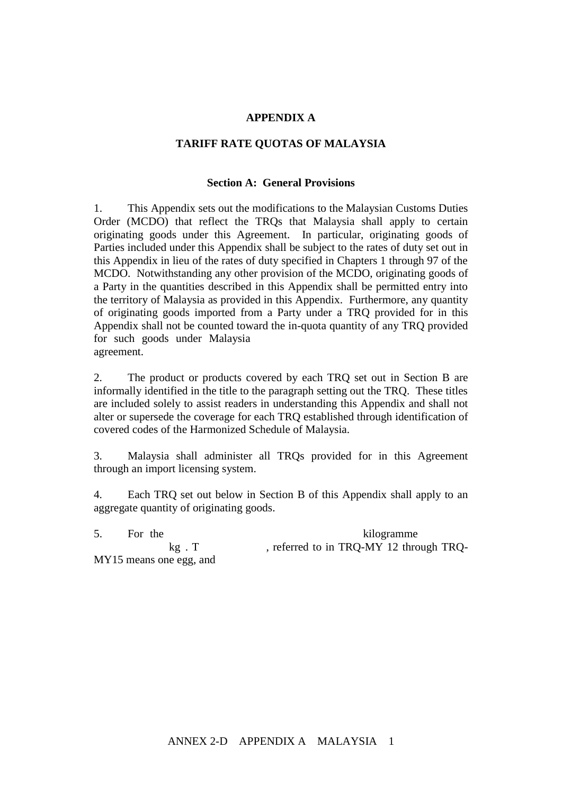## **APPENDIX A**

#### **TARIFF RATE QUOTAS OF MALAYSIA**

### **Section A: General Provisions**

1. This Appendix sets out the modifications to the Malaysian Customs Duties Order (MCDO) that reflect the TRQs that Malaysia shall apply to certain originating goods under this Agreement. In particular, originating goods of Parties included under this Appendix shall be subject to the rates of duty set out in this Appendix in lieu of the rates of duty specified in Chapters 1 through 97 of the MCDO. Notwithstanding any other provision of the MCDO, originating goods of a Party in the quantities described in this Appendix shall be permitted entry into the territory of Malaysia as provided in this Appendix. Furthermore, any quantity of originating goods imported from a Party under a TRQ provided for in this Appendix shall not be counted toward the in-quota quantity of any TRQ provided for such goods under Malaysia agreement.

2. The product or products covered by each TRQ set out in Section B are informally identified in the title to the paragraph setting out the TRQ. These titles are included solely to assist readers in understanding this Appendix and shall not alter or supersede the coverage for each TRQ established through identification of covered codes of the Harmonized Schedule of Malaysia.

3. Malaysia shall administer all TRQs provided for in this Agreement through an import licensing system.

4. Each TRQ set out below in Section B of this Appendix shall apply to an aggregate quantity of originating goods.

5. For the purposes of the term  $\frac{1}{2}$  the term  $\frac{1}{2}$  the term  $\frac{1}{2}$  the term  $\frac{1}{2}$  the term  $\frac{1}{2}$  the term  $\frac{1}{2}$  the term  $\frac{1}{2}$  the term  $\frac{1}{2}$  the term  $\frac{1}{2}$  the term  $\frac{1}{2}$  the term kg . T seeking the term in TRQ-MY 12 through TRQ- $MY15$  means one egg, and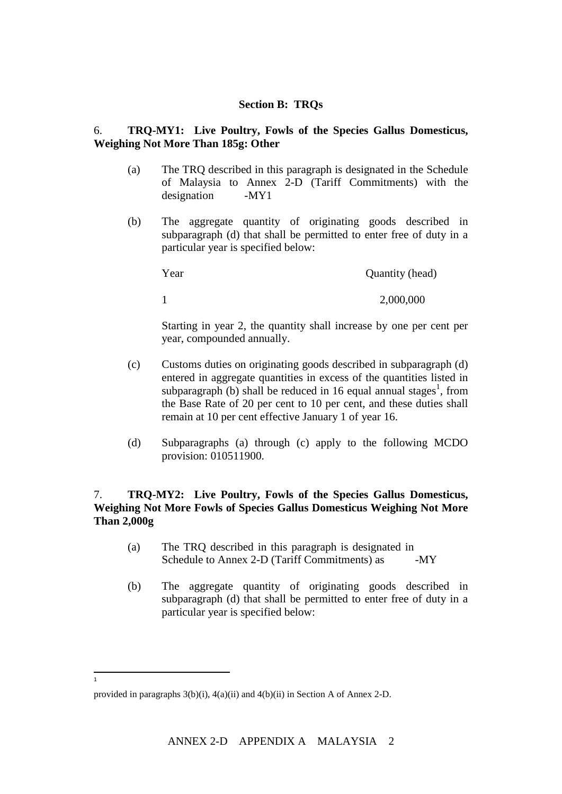## **Section B: TRQs**

### 6. **TRQ-MY1: Live Poultry, Fowls of the Species Gallus Domesticus, Weighing Not More Than 185g: Other**

- (a) The TRQ described in this paragraph is designated in the Schedule of Malaysia to Annex 2-D (Tariff Commitments) with the designation -MY1
- (b) The aggregate quantity of originating goods described in subparagraph (d) that shall be permitted to enter free of duty in a particular year is specified below:

| Year | Quantity (head) |
|------|-----------------|
|      | 2,000,000       |

Starting in year 2, the quantity shall increase by one per cent per year, compounded annually.

- (c) Customs duties on originating goods described in subparagraph (d) entered in aggregate quantities in excess of the quantities listed in subparagraph (b) shall be reduced in 16 equal annual stages<sup>1</sup>, from the Base Rate of 20 per cent to 10 per cent, and these duties shall remain at 10 per cent effective January 1 of year 16.
- (d) Subparagraphs (a) through (c) apply to the following MCDO provision: 010511900.

# 7. **TRQ-MY2: Live Poultry, Fowls of the Species Gallus Domesticus, Weighing Not More Fowls of Species Gallus Domesticus Weighing Not More Than 2,000g**

- $(a)$  The TRQ described in this paragraph is designated in Schedule to Annex 2-D (Tariff Commitments) as  $-MY$
- (b) The aggregate quantity of originating goods described in subparagraph (d) that shall be permitted to enter free of duty in a particular year is specified below:

 $\frac{1}{1}$ 

provided in paragraphs 3(b)(i), 4(a)(ii) and 4(b)(ii) in Section A of Annex 2-D.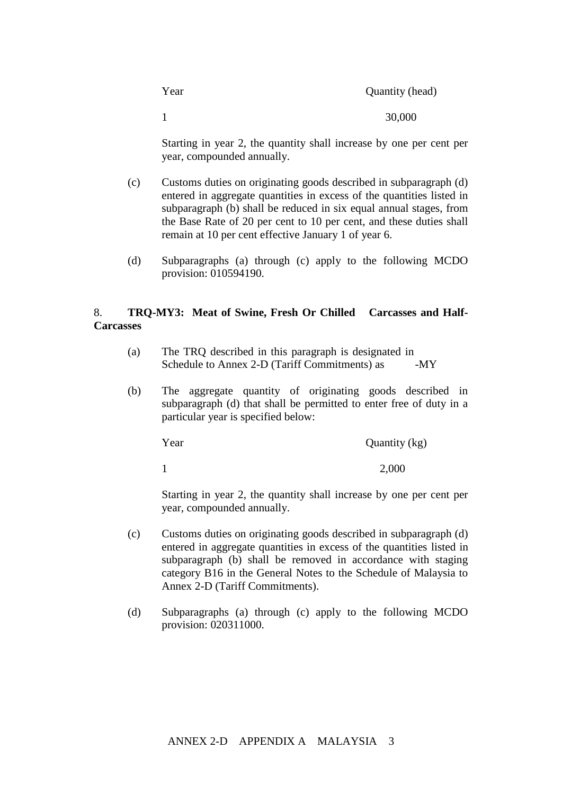| Year         | Quantity (head) |
|--------------|-----------------|
| $\mathbf{1}$ | 30,000          |

Starting in year 2, the quantity shall increase by one per cent per year, compounded annually.

- (c) Customs duties on originating goods described in subparagraph (d) entered in aggregate quantities in excess of the quantities listed in subparagraph (b) shall be reduced in six equal annual stages, from the Base Rate of 20 per cent to 10 per cent, and these duties shall remain at 10 per cent effective January 1 of year 6.
- (d) Subparagraphs (a) through (c) apply to the following MCDO provision: 010594190.

## 8. **TRQ-MY3: Meat of Swine, Fresh Or Chilled Carcasses and Half-Carcasses**

- $(a)$  The TRQ described in this paragraph is designated in Schedule to Annex 2-D (Tariff Commitments) as  $-MY$
- (b) The aggregate quantity of originating goods described in subparagraph (d) that shall be permitted to enter free of duty in a particular year is specified below:

Year Quantity (kg) 1 2,000

Starting in year 2, the quantity shall increase by one per cent per year, compounded annually.

- (c) Customs duties on originating goods described in subparagraph (d) entered in aggregate quantities in excess of the quantities listed in subparagraph (b) shall be removed in accordance with staging category B16 in the General Notes to the Schedule of Malaysia to Annex 2-D (Tariff Commitments).
- (d) Subparagraphs (a) through (c) apply to the following MCDO provision: 020311000.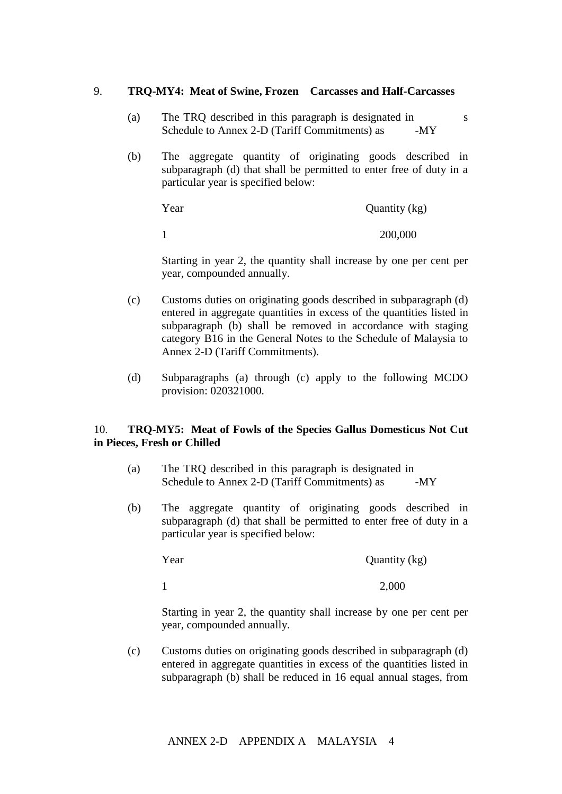### 9. **TRQ-MY4: Meat of Swine, Frozen Carcasses and Half-Carcasses**

- (a) The TRQ described in this paragraph is designated in Malaysia's s Schedule to Annex 2-D (Tariff Commitments) as  $-MY$
- (b) The aggregate quantity of originating goods described in subparagraph (d) that shall be permitted to enter free of duty in a particular year is specified below:

| Year | Quantity (kg) |
|------|---------------|
|      | 200,000       |

Starting in year 2, the quantity shall increase by one per cent per year, compounded annually.

- (c) Customs duties on originating goods described in subparagraph (d) entered in aggregate quantities in excess of the quantities listed in subparagraph (b) shall be removed in accordance with staging category B16 in the General Notes to the Schedule of Malaysia to Annex 2-D (Tariff Commitments).
- (d) Subparagraphs (a) through (c) apply to the following MCDO provision: 020321000.

## 10. **TRQ-MY5: Meat of Fowls of the Species Gallus Domesticus Not Cut in Pieces, Fresh or Chilled**

- $(a)$  The TRQ described in this paragraph is designated in Schedule to Annex 2-D (Tariff Commitments) as  $-MY$
- (b) The aggregate quantity of originating goods described in subparagraph (d) that shall be permitted to enter free of duty in a particular year is specified below:

| Year | Quantity (kg) |
|------|---------------|
|      | 2,000         |

Starting in year 2, the quantity shall increase by one per cent per year, compounded annually.

(c) Customs duties on originating goods described in subparagraph (d) entered in aggregate quantities in excess of the quantities listed in subparagraph (b) shall be reduced in 16 equal annual stages, from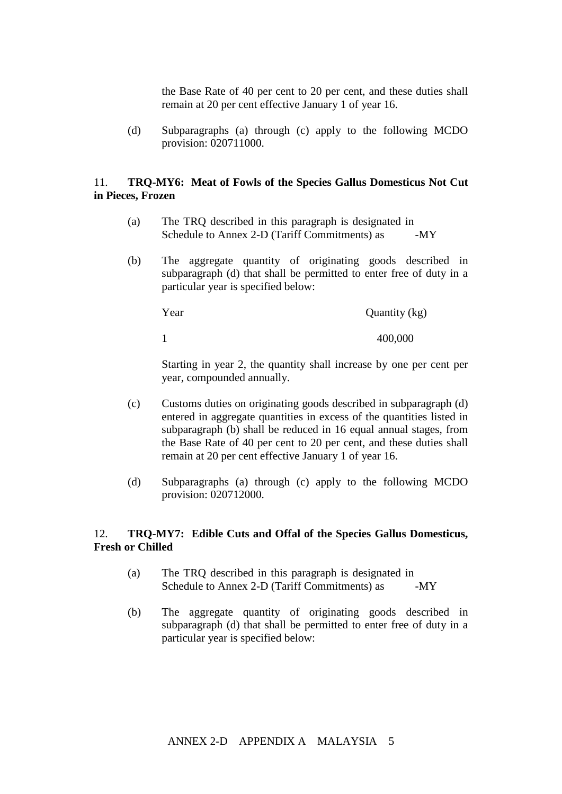the Base Rate of 40 per cent to 20 per cent, and these duties shall remain at 20 per cent effective January 1 of year 16.

(d) Subparagraphs (a) through (c) apply to the following MCDO provision: 020711000.

## 11. **TRQ-MY6: Meat of Fowls of the Species Gallus Domesticus Not Cut in Pieces, Frozen**

- $(a)$  The TRQ described in this paragraph is designated in Schedule to Annex 2-D (Tariff Commitments) as  $-MY$
- (b) The aggregate quantity of originating goods described in subparagraph (d) that shall be permitted to enter free of duty in a particular year is specified below:

Year Quantity (kg) 1 400,000

Starting in year 2, the quantity shall increase by one per cent per year, compounded annually.

- (c) Customs duties on originating goods described in subparagraph (d) entered in aggregate quantities in excess of the quantities listed in subparagraph (b) shall be reduced in 16 equal annual stages, from the Base Rate of 40 per cent to 20 per cent, and these duties shall remain at 20 per cent effective January 1 of year 16.
- (d) Subparagraphs (a) through (c) apply to the following MCDO provision: 020712000.

## 12. **TRQ-MY7: Edible Cuts and Offal of the Species Gallus Domesticus, Fresh or Chilled**

- $(a)$  The TRQ described in this paragraph is designated in Schedule to Annex 2-D (Tariff Commitments) as  $-MY$
- (b) The aggregate quantity of originating goods described in subparagraph (d) that shall be permitted to enter free of duty in a particular year is specified below: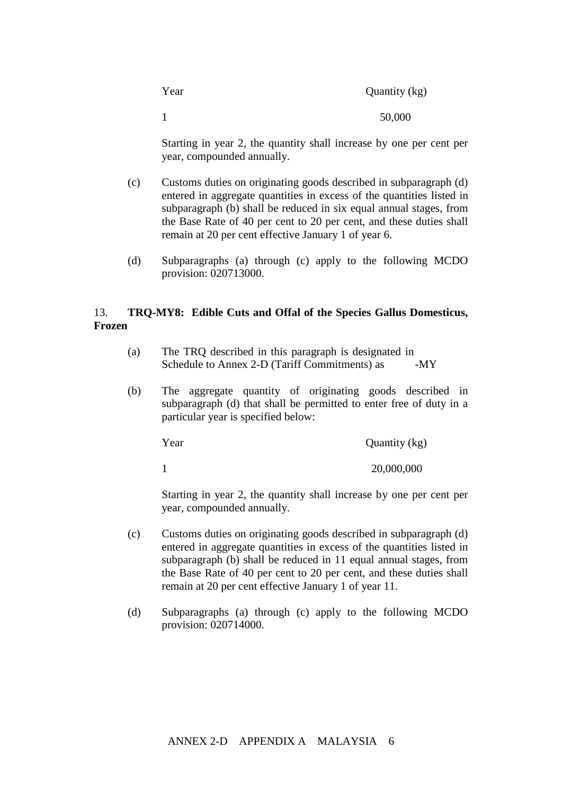| Year         | Quantity (kg) |
|--------------|---------------|
| $\mathbf{1}$ | 50,000        |

Starting in year 2, the quantity shall increase by one per cent per year, compounded annually.

- (c) Customs duties on originating goods described in subparagraph (d) entered in aggregate quantities in excess of the quantities listed in subparagraph (b) shall be reduced in six equal annual stages, from the Base Rate of 40 per cent to 20 per cent, and these duties shall remain at 20 per cent effective January 1 of year 6.
- (d) Subparagraphs (a) through (c) apply to the following MCDO provision: 020713000.

# 13. **TRQ-MY8: Edible Cuts and Offal of the Species Gallus Domesticus, Frozen**

- $(a)$  The TRQ described in this paragraph is designated in Schedule to Annex 2-D (Tariff Commitments) as  $-MY$
- (b) The aggregate quantity of originating goods described in subparagraph (d) that shall be permitted to enter free of duty in a particular year is specified below:

Year Quantity (kg) 1 20,000,000

Starting in year 2, the quantity shall increase by one per cent per year, compounded annually.

- (c) Customs duties on originating goods described in subparagraph (d) entered in aggregate quantities in excess of the quantities listed in subparagraph (b) shall be reduced in 11 equal annual stages, from the Base Rate of 40 per cent to 20 per cent, and these duties shall remain at 20 per cent effective January 1 of year 11.
- (d) Subparagraphs (a) through (c) apply to the following MCDO provision: 020714000.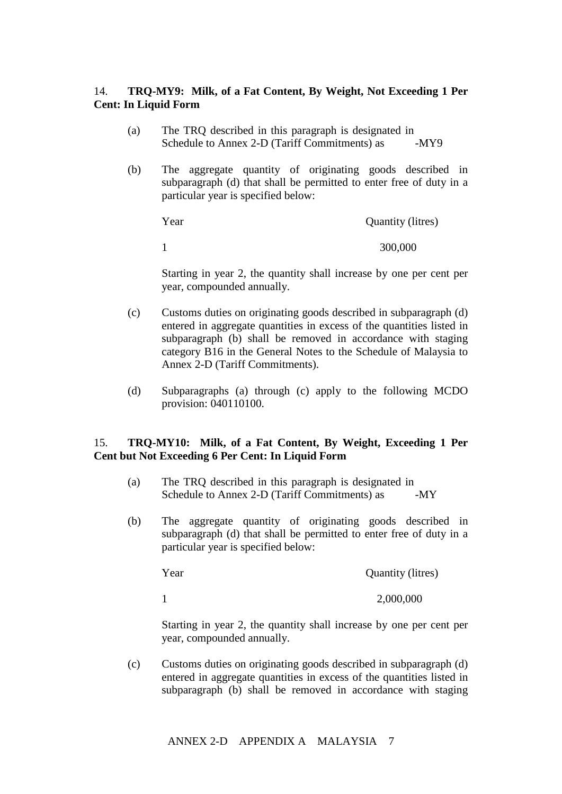# 14. **TRQ-MY9: Milk, of a Fat Content, By Weight, Not Exceeding 1 Per Cent: In Liquid Form**

- $(a)$  The TRQ described in this paragraph is designated in Schedule to Annex 2-D (Tariff Commitments) as  $-MY9$
- (b) The aggregate quantity of originating goods described in subparagraph (d) that shall be permitted to enter free of duty in a particular year is specified below:

Year Quantity (litres)

1 300,000

Starting in year 2, the quantity shall increase by one per cent per year, compounded annually.

- (c) Customs duties on originating goods described in subparagraph (d) entered in aggregate quantities in excess of the quantities listed in subparagraph (b) shall be removed in accordance with staging category B16 in the General Notes to the Schedule of Malaysia to Annex 2-D (Tariff Commitments).
- (d) Subparagraphs (a) through (c) apply to the following MCDO provision: 040110100.

## 15. **TRQ-MY10: Milk, of a Fat Content, By Weight, Exceeding 1 Per Cent but Not Exceeding 6 Per Cent: In Liquid Form**

- $(a)$  The TRQ described in this paragraph is designated in Schedule to Annex 2-D (Tariff Commitments) as  $-MY$
- (b) The aggregate quantity of originating goods described in subparagraph (d) that shall be permitted to enter free of duty in a particular year is specified below:

Year Quantity (litres) 1 2,000,000

Starting in year 2, the quantity shall increase by one per cent per year, compounded annually.

(c) Customs duties on originating goods described in subparagraph (d) entered in aggregate quantities in excess of the quantities listed in subparagraph (b) shall be removed in accordance with staging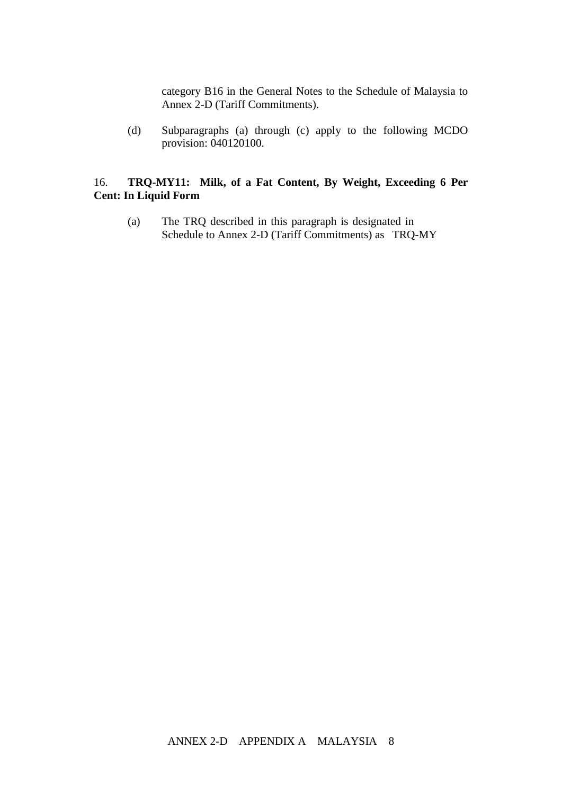category B16 in the General Notes to the Schedule of Malaysia to Annex 2-D (Tariff Commitments).

(d) Subparagraphs (a) through (c) apply to the following MCDO provision: 040120100.

# 16. **TRQ-MY11: Milk, of a Fat Content, By Weight, Exceeding 6 Per Cent: In Liquid Form**

(a) The TRQ described in this paragraph is designated in Schedule to Annex 2-D (Tariff Commitments) as TRQ-MY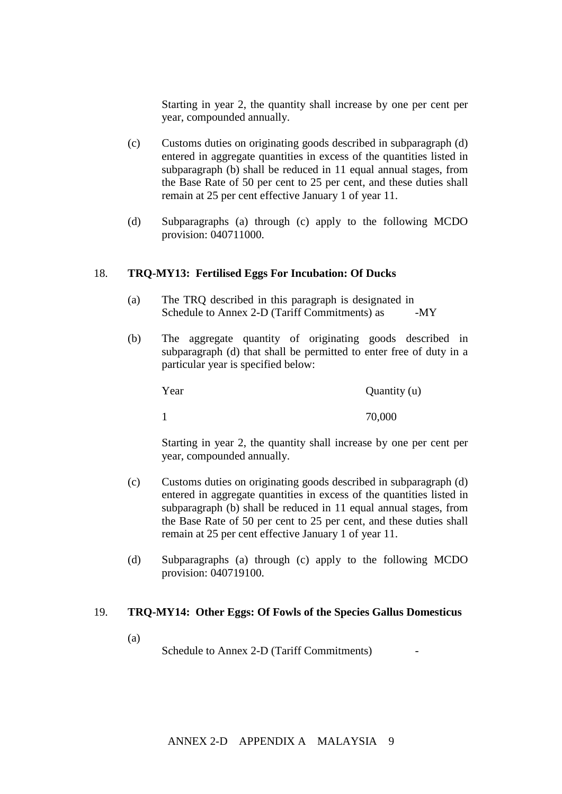Starting in year 2, the quantity shall increase by one per cent per year, compounded annually.

- (c) Customs duties on originating goods described in subparagraph (d) entered in aggregate quantities in excess of the quantities listed in subparagraph (b) shall be reduced in 11 equal annual stages, from the Base Rate of 50 per cent to 25 per cent, and these duties shall remain at 25 per cent effective January 1 of year 11.
- (d) Subparagraphs (a) through (c) apply to the following MCDO provision: 040711000.

#### 18. **TRQ-MY13: Fertilised Eggs For Incubation: Of Ducks**

- $(a)$  The TRQ described in this paragraph is designated in Schedule to Annex 2-D (Tariff Commitments) as  $-MY$
- (b) The aggregate quantity of originating goods described in subparagraph (d) that shall be permitted to enter free of duty in a particular year is specified below:

Year Quantity (u) 1 70,000

Starting in year 2, the quantity shall increase by one per cent per year, compounded annually.

- (c) Customs duties on originating goods described in subparagraph (d) entered in aggregate quantities in excess of the quantities listed in subparagraph (b) shall be reduced in 11 equal annual stages, from the Base Rate of 50 per cent to 25 per cent, and these duties shall remain at 25 per cent effective January 1 of year 11.
- (d) Subparagraphs (a) through (c) apply to the following MCDO provision: 040719100.

#### 19. **TRQ-MY14: Other Eggs: Of Fowls of the Species Gallus Domesticus**

 $\left( \text{a} \right)$ 

Schedule to Annex 2-D (Tariff Commitments).